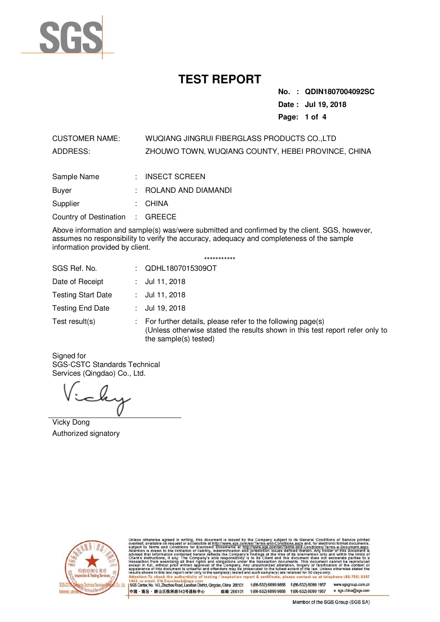

**No. : QDIN1807004092SC Date : Jul 19, 2018 Page: 1 of 4** 

CUSTOMER NAME: WUQIANG JINGRUI FIBERGLASS PRODUCTS CO.,LTD ADDRESS: ZHOUWO TOWN, WUQIANG COUNTY, HEBEI PROVINCE, CHINA

| Sample Name                     | $:$ INSECT SCREEN     |
|---------------------------------|-----------------------|
| Buyer                           | : ROLAND AND DIAMANDI |
| Supplier                        | : CHINA               |
| Country of Destination : GREECE |                       |

Above information and sample(s) was/were submitted and confirmed by the client. SGS, however, assumes no responsibility to verify the accuracy, adequacy and completeness of the sample information provided by client.

| SGS Ref. No.              | QDHL1807015309OT                                                                                                                                                    |
|---------------------------|---------------------------------------------------------------------------------------------------------------------------------------------------------------------|
| Date of Receipt           | : $Jul$ 11, 2018                                                                                                                                                    |
| <b>Testing Start Date</b> | : $Jul$ 11, 2018                                                                                                                                                    |
| <b>Testing End Date</b>   | : $Jul 19, 2018$                                                                                                                                                    |
| Test result(s)            | For further details, please refer to the following page(s)<br>(Unless otherwise stated the results shown in this test report refer only to<br>the sample(s) tested) |

\*\*\*\*\*\*\*\*\*\*\*

Signed for SGS-CSTC Standards Technical Services (Qingdao) Co., Ltd.

Vicky Dong Authorized signatory



Unless otherwise agreed in writing, this document is issued by the Company subject to its General Conditions of Service printed aubject to Terms and Conditions for Electronic Documents at http://www.sgs.com/en/Terms-and-Co lact us at telephone:(86-755) 8307 testing port & certificate, p

www.sgsgroup.com.cn SGS Center, No. 143, Zhuzhou Road, Laoshan District, Qingdao, China 266101 t (86-532) 6899 9888 f (86-532) 8099 1957 中国・青岛・ 崂山区株洲路143号通标中心 邮编: 266101 t(86-532) 6899 9888 f(86-532) 8099 1957 e sgs.china@sgs.com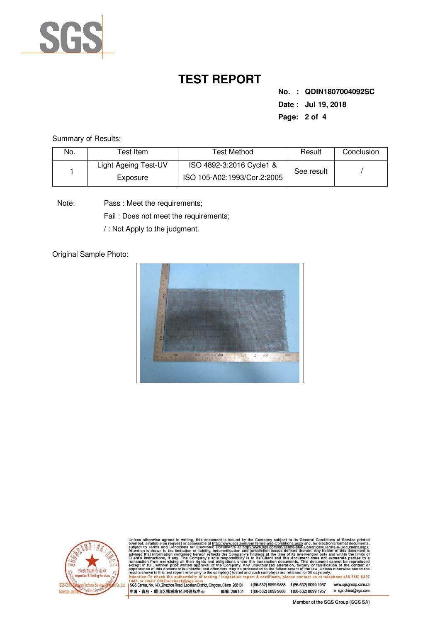

**No. : QDIN1807004092SC Date : Jul 19, 2018 Page: 2 of 4** 

Summary of Results:

| No. | Гest Item            | Test Method                 | Result     | Conclusion |
|-----|----------------------|-----------------------------|------------|------------|
|     | Light Ageing Test-UV | ISO 4892-3:2016 Cycle1 &    |            |            |
|     | Exposure             | ISO 105-A02:1993/Cor.2:2005 | See result |            |

Pass : Meet the requirements; Note:

Fail : Does not meet the requirements;

/ : Not Apply to the judgment.

Original Sample Photo:





Unless otherwise agreed in writing, this document is issued by the Company subject to its General Conditions of Service printed overleaf, available on request or accessible at http://www.sgs.com/en/Terms-and-Conditions.se

SGS Center, No. 143, Zhuzhou Road, Laoshan District, Qingdao, China 266101 t (86-532) 6899 9888 f (86-532) 8099 1957 www.sgsgroup.com.cn 中国·青岛·崂山区株洲路143号通标中心 邮编: 266101 t(86-532) 6899 9888 f(86-532) 8099 1957 e sgs.china@sgs.com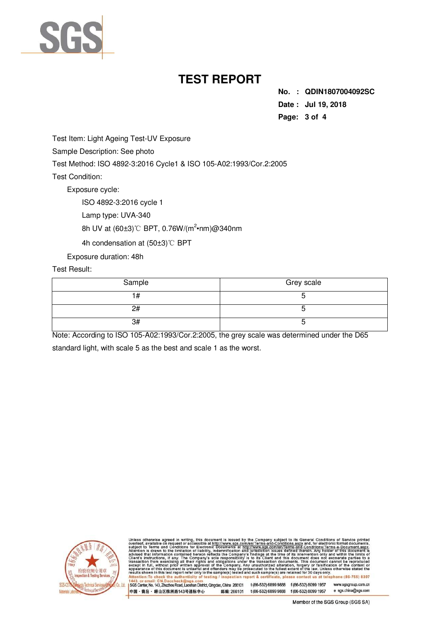

**No. : QDIN1807004092SC Date : Jul 19, 2018 Page: 3 of 4** 

Test Item: Light Ageing Test-UV Exposure

Sample Description: See photo

Test Method: ISO 4892-3:2016 Cycle1 & ISO 105-A02:1993/Cor.2:2005

Test Condition:

Exposure cycle:

ISO 4892-3:2016 cycle 1

Lamp type: UVA-340

8h UV at (60±3)℃ BPT, 0.76W/(m<sup>2</sup>•nm)@340nm

4h condensation at (50±3)℃ BPT

Exposure duration: 48h

Test Result:

| Sample | Grey scale |  |
|--------|------------|--|
|        |            |  |
| 2#     |            |  |
| 3#     |            |  |

Note: According to ISO 105-A02:1993/Cor.2:2005, the grey scale was determined under the D65 standard light, with scale 5 as the best and scale 1 as the worst.



is otherwise agreed in writing, this document is issued by the Company subject to its General Conditions of Service print, available on request or accessible at http://www.sgs.com/en/Terms-and-Conditions/Terms-e-Document.a at telephone: (86-755) 8307 esting ct us

www.sgsgroup.com.cn SGS Center, No. 143, Zhuzhou Road, Laoshan District, Qingdao, China 266101 t (86-532) 6899 9888 f (86-532) 8099 1957 中国·青岛·崂山区株洲路143号通标中心 邮编: 266101 t(86-532) 6899 9888 f(86-532) 8099 1957 e sgs.china@sgs.com